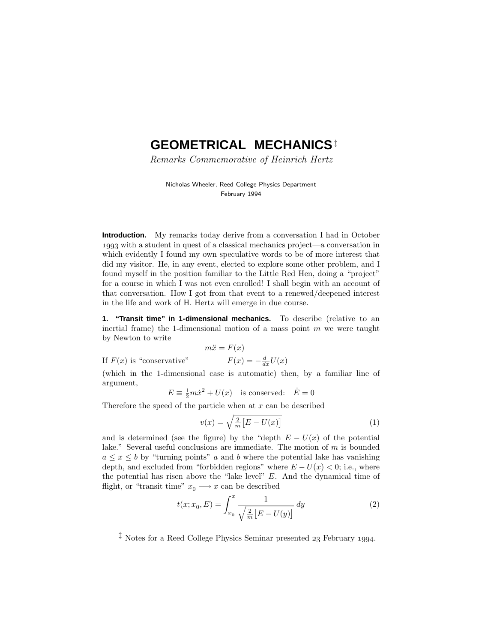# **GEOMETRICAL MECHANICS**‡

Remarks Commemorative of Heinrich Hertz

Nicholas Wheeler, Reed College Physics Department February 1994

**Introduction.** My remarks today derive from a conversation I had in October 1993 with a student in quest of a classical mechanics project—a conversation in which evidently I found my own speculative words to be of more interest that did my visitor. He, in any event, elected to explore some other problem, and I found myself in the position familiar to the Little Red Hen, doing a "project" for a course in which I was not even enrolled! I shall begin with an account of that conversation. How I got from that event to a renewed/deepened interest in the life and work of H. Hertz will emerge in due course.

**1. "Transit time" in 1-dimensional mechanics.** To describe (relative to an inertial frame) the 1-dimensional motion of a mass point *m* we were taught by Newton to write

$$
m\ddot{x} = F(x)
$$

$$
F(x) = -\frac{d}{dx}U(x)
$$

If  $F(x)$  is "conservative"

(which in the 1-dimensional case is automatic) then, by a familiar line of argument,

$$
E \equiv \frac{1}{2}m\dot{x}^2 + U(x)
$$
 is conserved:  $\dot{E} = 0$ 

Therefore the speed of the particle when at *x* can be described

$$
v(x) = \sqrt{\frac{2}{m} \left[ E - U(x) \right]}
$$
 (1)

and is determined (see the figure) by the "depth  $E - U(x)$  of the potential lake." Several useful conclusions are immediate. The motion of *m* is bounded  $a \leq x \leq b$  by "turning points" *a* and *b* where the potential lake has vanishing depth, and excluded from "forbidden regions" where  $E - U(x) < 0$ ; i.e., where the potential has risen above the "lake level" *E*. And the dynamical time of flight, or "transit time"  $x_0 \longrightarrow x$  can be described

$$
t(x; x_0, E) = \int_{x_0}^{x} \frac{1}{\sqrt{\frac{2}{m} \left[ E - U(y) \right]}} dy
$$
 (2)

<sup>&</sup>lt;sup> $\ddagger$ </sup> Notes for a Reed College Physics Seminar presented 23 February 1994.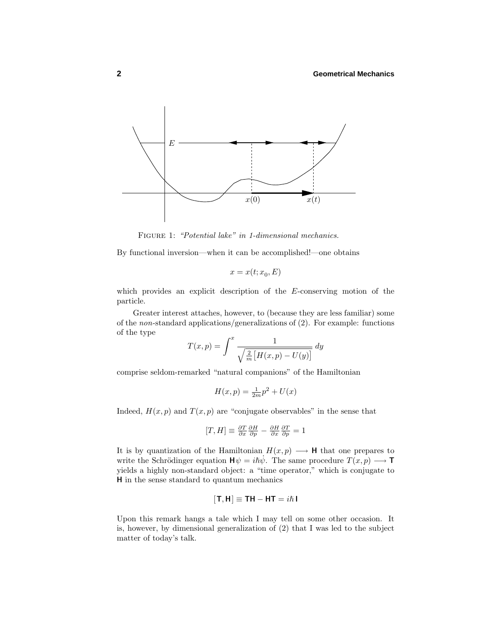

FIGURE 1: "Potential lake" in 1-dimensional mechanics.

By functional inversion—when it can be accomplished!—one obtains

$$
x = x(t; x_0, E)
$$

which provides an explicit description of the *E*-conserving motion of the particle.

Greater interest attaches, however, to (because they are less familiar) some of the non-standard applications/generalizations of (2). For example: functions of the type

$$
T(x,p) = \int^x \frac{1}{\sqrt{\frac{2}{m} \left[ H(x,p) - U(y) \right]}} \, dy
$$

comprise seldom-remarked "natural companions" of the Hamiltonian

$$
H(x,p) = \frac{1}{2m}p^2 + U(x)
$$

Indeed,  $H(x, p)$  and  $T(x, p)$  are "conjugate observables" in the sense that

$$
[T,H]\equiv \tfrac{\partial T}{\partial x} \tfrac{\partial H}{\partial p} - \tfrac{\partial H}{\partial x} \tfrac{\partial T}{\partial p} = 1
$$

It is by quantization of the Hamiltonian  $H(x, p) \longrightarrow H$  that one prepares to write the Schrödinger equation  $\mathbf{H}\psi = i\hbar\psi$ . The same procedure  $T(x, p) \longrightarrow \mathbf{T}$ yields a highly non-standard object: a "time operator," which is conjugate to **H** in the sense standard to quantum mechanics

$$
[\mathsf{T},\mathsf{H}] \equiv \mathsf{T}\mathsf{H} - \mathsf{H}\mathsf{T} = i\hbar \mathsf{I}
$$

Upon this remark hangs a tale which I may tell on some other occasion. It is, however, by dimensional generalization of (2) that I was led to the subject matter of today's talk.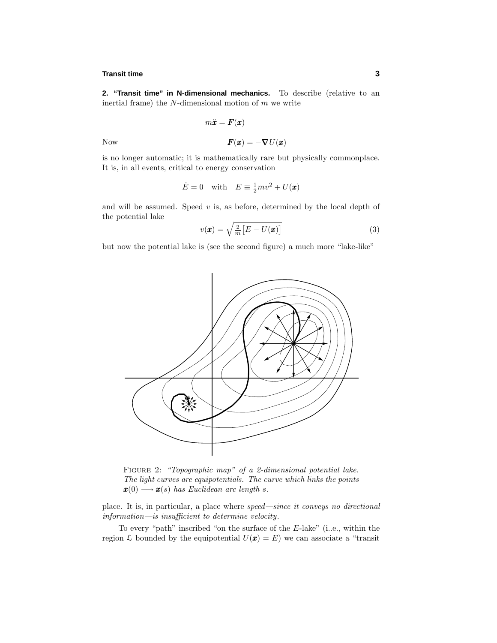## **Transit time 3**

**2. "Transit time" in N-dimensional mechanics.** To describe (relative to an inertial frame) the *N*-dimensional motion of *m* we write

$$
m\ddot{\bm{x}} = \bm{F}(\bm{x})
$$

Now  $\boldsymbol{F}(\boldsymbol{x}) = -\boldsymbol{\nabla} U(\boldsymbol{x})$ 

$$
\begin{array}{c}\n\text{...}\\
\text{...}\\
\text{...}\\
\text{...}\\
\text{...}\\
\text{...}\\
\text{...}\\
\text{...}\\
\text{...}\\
\text{...}\\
\text{...}\\
\text{...}\\
\text{...}\\
\text{...}\\
\text{...}\\
\text{...}\\
\text{...}\\
\text{...}\\
\text{...}\\
\text{...}\\
\text{...}\\
\text{...}\\
\text{...}\\
\text{...}\\
\text{...}\\
\text{...}\\
\text{...}\\
\text{...}\\
\text{...}\\
\text{...}\\
\text{...}\\
\text{...}\\
\text{...}\\
\text{...}\\
\text{...}\\
\text{...}\\
\text{...}\\
\text{...}\\
\text{...}\\
\text{...}\\
\text{...}\\
\text{...}\\
\text{...}\\
\text{...}\\
\text{...}\\
\text{...}\\
\text{...}\\
\text{...}\\
\text{...}\\
\text{...}\\
\text{...}\\
\text{...}\\
\text{...}\\
\text{...}\\
\text{...}\\
\text{...}\\
\text{...}\\
\text{...}\\
\text{...}\\
\text{...}\\
\text{...}\\
\text{...}\\
\text{...}\\
\text{...}\\
\text{...}\\
\text{...}\\
\text{...}\\
\text{...}\\
\text{...}\\
\text{...}\\
\text{...}\\
\text{...}\\
\text{...}\\
\text{...}\\
\text{...}\\
\text{...}\\
\text{...}\\
\text{...}\\
\text{...}\\
\text{...}\\
\text{...}\\
\text{...}\\
\text{...}\\
\text{...}\\
\text{...}\\
\text{...}\\
\text{...}\\
\text{...}\\
\text{...}\\
\text{...}\\
\text{...}\\
\text{...}\\
\text{...}\\
\text{...}\\
\text{...}\\
\text{...}\\
\text{...}\\
\text{...}\\
\text{...}\\
\text{...}\\
\text{...}\\
\text{...}\\
\text{...}\\
\text{...}\\
\text{...}\\
\text{...}\\
\text{...}\\
\text{...}\\
\text{...}\\
\text{...}\\
\text{...}\\
\text{...}\\
\text{...}\\
\text{...}\\
\text{...}\\
\text{...}\\
\text{...}\\
\text{...}\\
\text{...}\\
\text{...}\\
\text{...}\\
\text{...}\\
\text{...}\\
\text{...}\\
\text{...}\\
\text
$$

is no longer automatic; it is mathematically rare but physically commonplace. It is, in all events, critical to energy conservation

$$
\dot{E} = 0 \quad \text{with} \quad E \equiv \frac{1}{2}mv^2 + U(\pmb{x})
$$

and will be assumed. Speed  $v$  is, as before, determined by the local depth of the potential lake

$$
v(\pmb{x}) = \sqrt{\frac{2}{m} \left[ E - U(\pmb{x}) \right]}
$$
 (3)

but now the potential lake is (see the second figure) a much more "lake-like"



FIGURE 2: "Topographic map" of a 2-dimensional potential lake. The light curves are equipotentials. The curve which links the points  $\mathbf{x}(0) \longrightarrow \mathbf{x}(s)$  has Euclidean arc length *s*.

place. It is, in particular, a place where speed—since it conveys no directional information—is insufficient to determine velocity.

To every "path" inscribed "on the surface of the *E*-lake" (i..e., within the region L bounded by the equipotential  $U(\mathbf{x}) = E$ ) we can associate a "transit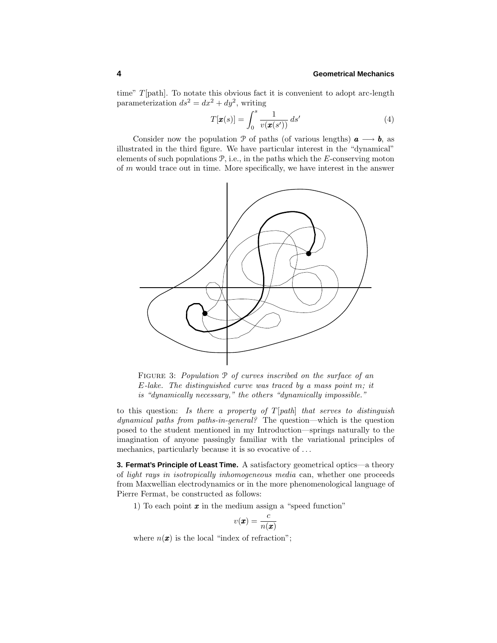time" *T*[path]. To notate this obvious fact it is convenient to adopt arc-length parameterization  $ds^2 = dx^2 + dy^2$ , writing

$$
T[\boldsymbol{x}(s)] = \int_0^s \frac{1}{v(\boldsymbol{x}(s'))} \, ds' \tag{4}
$$

Consider now the population P of paths (of various lengths)  $a \rightarrow b$ , as illustrated in the third figure. We have particular interest in the "dynamical" elements of such populations P, i.e., in the paths which the *E*-conserving moton of *m* would trace out in time. More specifically, we have interest in the answer



FIGURE 3: Population  $P$  of curves inscribed on the surface of an *E*-lake. The distinguished curve was traced by a mass point *m*; it is "dynamically necessary," the others "dynamically impossible."

to this question: Is there a property of *T*[path] that serves to distinguish dynamical paths from paths-in-general? The question—which is the question posed to the student mentioned in my Introduction—springs naturally to the imagination of anyone passingly familiar with the variational principles of mechanics, particularly because it is so evocative of *...*

**3. Fermat's Principle of Least Time.** A satisfactory geometrical optics—a theory of light rays in isotropically inhomogeneous media can, whether one proceeds from Maxwellian electrodynamics or in the more phenomenological language of Pierre Fermat, be constructed as follows:

1) To each point *x* in the medium assign a "speed function"

$$
v(\pmb{x}) = \frac{c}{n(\pmb{x})}
$$

where  $n(\mathbf{x})$  is the local "index of refraction";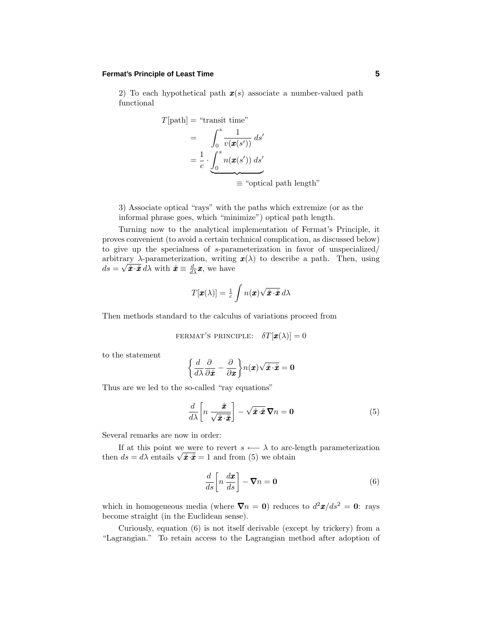## **Fermat's Principle of Least Time 5**

2) To each hypothetical path *x*(*s*) associate a number-valued path functional

$$
T[\text{path}] = \text{``transit time''}
$$
\n
$$
= \int_0^s \frac{1}{v(\pmb{x}(s'))} ds'
$$
\n
$$
= \frac{1}{c} \cdot \underbrace{\int_0^s n(\pmb{x}(s')) ds'}_{\equiv \text{``optical path length''}}
$$

3) Associate optical "rays" with the paths which extremize (or as the informal phrase goes, which "minimize") optical path length.

Turning now to the analytical implementation of Fermat's Principle, it proves convenient (to avoid a certain technical complication, as discussed below) to give up the specialness of *s*-parameterization in favor of unspecialized/ arbitrary  $\lambda$ -parameterization, writing  $\mathbf{x}(\lambda)$  to describe a path. Then, using  $ds = \sqrt{\mathbf{\hat{x}} \cdot \mathbf{\hat{x}}} d\lambda$  with  $\mathbf{\hat{x}} \equiv \frac{d}{d\lambda} \mathbf{x}$ , we have

$$
T[\pmb{x}(\lambda)] = \frac{1}{c} \int n(\pmb{x}) \sqrt{\hat{\pmb{x}} \cdot \hat{\pmb{x}}} \, d\lambda
$$

Then methods standard to the calculus of variations proceed from

FERMAT'S PRINCIPLE: 
$$
\delta T[\boldsymbol{x}(\lambda)] = 0
$$

to the statement

$$
\left\{\frac{d}{d\lambda}\frac{\partial}{\partial \mathbf{\hat{x}}} - \frac{\partial}{\partial \mathbf{x}}\right\} n(\mathbf{x})\sqrt{\mathbf{\hat{x}}\cdot \mathbf{\hat{x}}} = \mathbf{0}
$$

Thus are we led to the so-called "ray equations"

$$
\frac{d}{d\lambda} \left[ n \frac{\dot{x}}{\sqrt{\dot{x} \cdot \dot{x}}} \right] - \sqrt{\dot{x} \cdot \dot{x}} \, \nabla n = \mathbf{0} \tag{5}
$$

Several remarks are now in order:

If at this point we were to revert  $s \leftarrow \lambda$  to arc-length parameterization then  $ds = d\lambda$  entails  $\sqrt{\hat{x} \cdot \hat{x}} = 1$  and from (5) we obtain

$$
\frac{d}{ds} \left[ n \frac{d\boldsymbol{x}}{ds} \right] - \boldsymbol{\nabla} n = \mathbf{0} \tag{6}
$$

which in homogeneous media (where  $\nabla n = 0$ ) reduces to  $d^2x/ds^2 = 0$ : rays become straight (in the Euclidean sense).

Curiously, equation (6) is not itself derivable (except by trickery) from a "Lagrangian." To retain access to the Lagrangian method after adoption of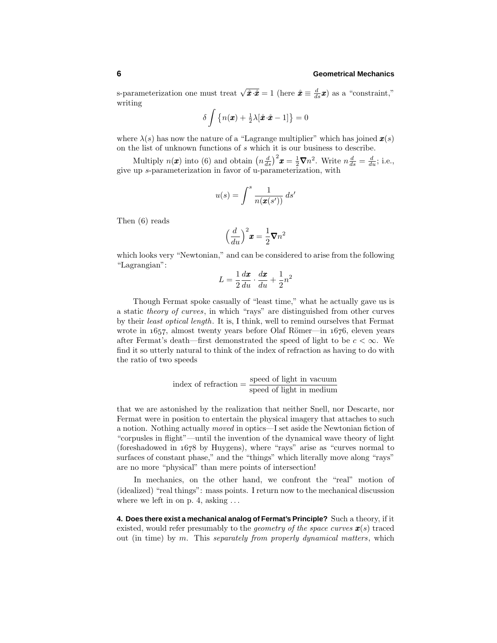s-parameterization one must treat  $\sqrt{\hat{x} \cdot \hat{x}} = 1$  (here  $\hat{x} \equiv \frac{d}{ds} x$ ) as a "constraint," writing

$$
\delta \int \left\{ n(\boldsymbol{x}) + \frac{1}{2}\lambda[\mathbf{\hat{x}} \cdot \mathbf{\hat{x}} - 1] \right\} = 0
$$

where  $\lambda(s)$  has now the nature of a "Lagrange multiplier" which has joined  $\mathbf{x}(s)$ on the list of unknown functions of *s* which it is our business to describe.

Multiply  $n(\mathbf{x})$  into (6) and obtain  $\left(n\frac{d}{ds}\right)^2\mathbf{x} = \frac{1}{2}\nabla n^2$ . Write  $n\frac{d}{ds} = \frac{d}{du}$ ; i.e., give up *s*-parameterization in favor of u-parameterization, with

$$
u(s) = \int^s \frac{1}{n(\pmb{x}(s'))} \, ds'
$$

Then (6) reads

$$
\left(\frac{d}{du}\right)^2 \pmb{x} = \frac{1}{2} \pmb{\nabla} n^2
$$

which looks very "Newtonian," and can be considered to arise from the following "Lagrangian":

$$
L = \frac{1}{2}\frac{d\boldsymbol{x}}{du} \cdot \frac{d\boldsymbol{x}}{du} + \frac{1}{2}n^2
$$

Though Fermat spoke casually of "least time," what he actually gave us is a static theory of curves, in which "rays" are distinguished from other curves by their least optical length. It is, I think, well to remind ourselves that Fermat wrote in  $1657$ , almost twenty years before Olaf Römer—in  $1676$ , eleven years after Fermat's death—first demonstrated the speed of light to be  $c < \infty$ . We find it so utterly natural to think of the index of refraction as having to do with the ratio of two speeds

index of refraction 
$$
=
$$
  $\frac{\text{speed of light in vacuum}}{\text{speed of light in medium}}$ 

that we are astonished by the realization that neither Snell, nor Descarte, nor Fermat were in position to entertain the physical imagery that attaches to such a notion. Nothing actually moved in optics—I set aside the Newtonian fiction of "corpusles in flight"—until the invention of the dynamical wave theory of light (foreshadowed in  $1678$  by Huygens), where "rays" arise as "curves normal to surfaces of constant phase," and the "things" which literally move along "rays" are no more "physical" than mere points of intersection!

In mechanics, on the other hand, we confront the "real" motion of (idealized) "real things": mass points. I return now to the mechanical discussion where we left in on p. 4, asking *...*

**4. Does there exist a mechanical analog of Fermat's Principle?** Such a theory, if it existed, would refer presumably to the geometry of the space curves *x*(*s*) traced out (in time) by *m*. This separately from properly dynamical matters, which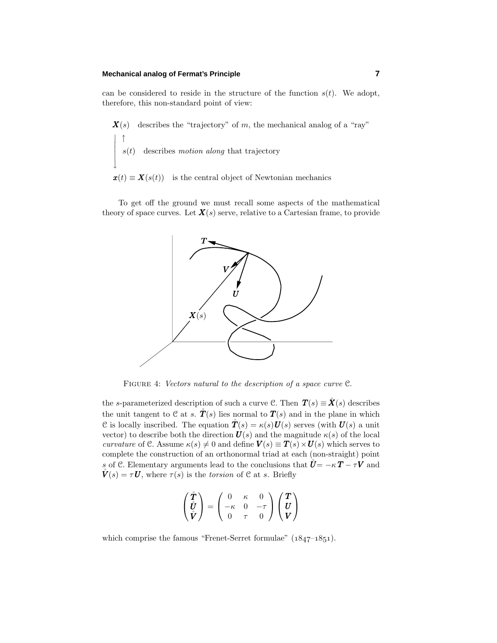### **Mechanical analog of Fermat's Principle 7**

can be considered to reside in the structure of the function  $s(t)$ . We adopt, therefore, this non-standard point of view:

 $\mathbf{X}(s)$  describes the "trajectory" of *m*, the mechanical analog of a "ray"  $\begin{vmatrix} \n\cdot & \cdot \\
\cdot & s(t) \n\end{vmatrix}$  describes *motion along* that trajectory  $\overline{\phantom{a}}$  $\overline{\phantom{a}}$  $\overline{\phantom{a}}$ ↓

 $\mathbf{x}(t) \equiv \mathbf{X}(s(t))$  is the central object of Newtonian mechanics

To get off the ground we must recall some aspects of the mathematical theory of space curves. Let  $\mathbf{X}(s)$  serve, relative to a Cartesian frame, to provide



FIGURE 4: Vectors natural to the description of a space curve  $\mathcal{C}$ .

the *s*-parameterized description of such a curve C. Then  $T(s) \equiv \dot{X}(s)$  describes the unit tangent to  $C$  at *s*.  $\mathring{T}(s)$  lies normal to  $T(s)$  and in the plane in which C is locally inscribed. The equation  $\mathbf{\hat{T}}(s) = \kappa(s) \mathbf{U}(s)$  serves (with  $\mathbf{U}(s)$ ) a unit vector) to describe both the direction  $U(s)$  and the magnitude  $\kappa(s)$  of the local curvature of C. Assume  $\kappa(s) \neq 0$  and define  $V(s) \equiv T(s) \times U(s)$  which serves to complete the construction of an orthonormal triad at each (non-straight) point *s* of C. Elementary arguments lead to the conclusions that  $\mathbf{U} = -\kappa \mathbf{T} - \tau \mathbf{V}$  and  $\mathring{\bm{V}}(s) = \tau \bm{U}$ , where  $\tau(s)$  is the torsion of C at *s*. Briefly

$$
\begin{pmatrix} \mathring{T} \\ \mathring{U} \\ \mathring{V} \end{pmatrix} = \begin{pmatrix} 0 & \kappa & 0 \\ -\kappa & 0 & -\tau \\ 0 & \tau & 0 \end{pmatrix} \begin{pmatrix} T \\ U \\ V \end{pmatrix}
$$

which comprise the famous "Frenet-Serret formulae"  $(1847-1851)$ .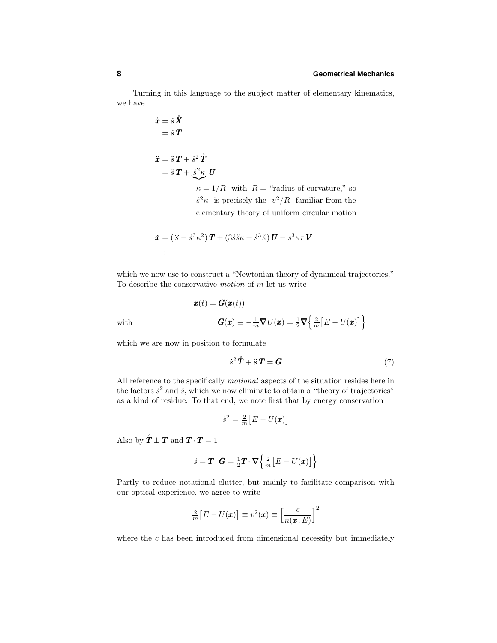Turning in this language to the subject matter of elementary kinematics, we have

$$
\dot{x} = \dot{s}\,\mathbf{\hat{X}}
$$
\n
$$
= \dot{s}\,\mathbf{T}
$$
\n
$$
\ddot{x} = \ddot{s}\,\mathbf{T} + \dot{s}^2\,\mathbf{\hat{T}}
$$
\n
$$
= \ddot{s}\,\mathbf{T} + \dot{s}^2\,\mathbf{\hat{K}}\,\mathbf{U}
$$
\n
$$
\kappa = 1/R \text{ with } R = \text{``radius of curvature," so}
$$
\n
$$
\dot{s}^2\kappa \text{ is precisely the } v^2/R \text{ familiar from the elementary theory of uniform circular motion}
$$

$$
\ddot{\mathbf{x}} = (\ddot{s} - \dot{s}^3 \kappa^2) \mathbf{T} + (3\dot{s}\ddot{s}\kappa + \dot{s}^3 \ddot{\kappa}) \mathbf{U} - \dot{s}^3 \kappa \tau \mathbf{V}
$$
  
:

which we now use to construct a "Newtonian theory of dynamical trajectories." To describe the conservative motion of *m* let us write

$$
\ddot{x}(t) = G(x(t))
$$
\nwith\n
$$
G(x) \equiv -\frac{1}{m}\nabla U(x) = \frac{1}{2}\nabla \left\{\frac{2}{m}[E - U(x)]\right\}
$$

which we are now in position to formulate

$$
\dot{s}^2 \mathbf{\hat{T}} + \ddot{s} \mathbf{T} = \mathbf{G} \tag{7}
$$

All reference to the specifically motional aspects of the situation resides here in the factors  $\dot{s}^2$  and  $\ddot{s}$ , which we now eliminate to obtain a "theory of trajectories" as a kind of residue. To that end, we note first that by energy conservation

$$
\dot{s}^2 = \frac{2}{m}\big[E - U(\pmb{x})\big]
$$

Also by  $\mathbf{\dot{T}} \perp \mathbf{T}$  and  $\mathbf{T} \cdot \mathbf{T} = 1$ 

$$
\ddot{s} = \boldsymbol{T} \cdot \boldsymbol{G} = \frac{1}{2} \boldsymbol{T} \cdot \boldsymbol{\nabla} \left\{ \frac{2}{m} \left[ E - U(\boldsymbol{x}) \right] \right\}
$$

Partly to reduce notational clutter, but mainly to facilitate comparison with our optical experience, we agree to write

$$
\frac{2}{m}[E - U(\pmb{x})] \equiv v^2(\pmb{x}) \equiv \left[\frac{c}{n(\pmb{x};E)}\right]^2
$$

where the *c* has been introduced from dimensional necessity but immediately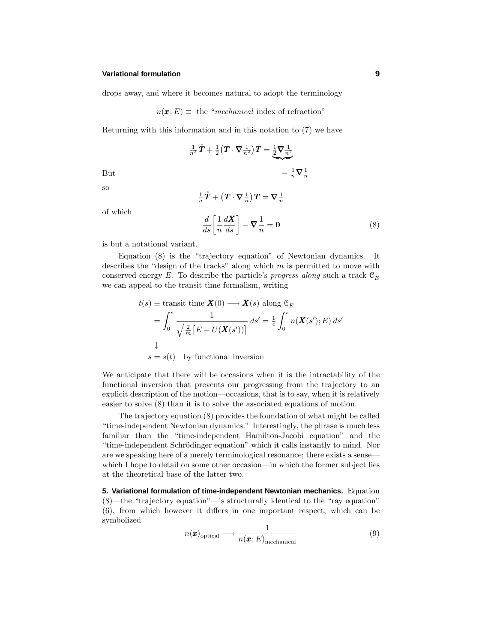#### **Variational formulation 9**

drops away, and where it becomes natural to adopt the terminology

$$
n(\pmb{x};E) \equiv \text{ the "mechanical index of refraction"}
$$

Returning with this information and in this notation to (7) we have

$$
\frac{1}{n^2}\mathring{T} + \frac{1}{2}\left(T \cdot \nabla \frac{1}{n^2}\right)T = \underbrace{\frac{1}{2}\nabla \frac{1}{n^2}}_{= \frac{1}{n}\nabla \frac{1}{n}} = \frac{1}{n}\nabla \frac{1}{n}
$$

so

$$
\tfrac{1}{n}\mathring{\pmb{T}}+\left(\pmb{T}\cdot\pmb{\nabla}_{\,n}^{\,1}\right)\pmb{T}=\pmb{\nabla}_{\,n}^{\,1}
$$

of which

$$
\frac{d}{ds} \left[ \frac{1}{n} \frac{dX}{ds} \right] - \nabla \frac{1}{n} = \mathbf{0}
$$
\n(8)

is but a notational variant.

Equation (8) is the "trajectory equation" of Newtonian dynamics. It describes the "design of the tracks" along which *m* is permitted to move with conserved energy *E*. To describe the particle's *progress along* such a track  $\mathcal{C}_E$ we can appeal to the transit time formalism, writing

$$
t(s) \equiv \text{transit time } \mathbf{X}(0) \longrightarrow \mathbf{X}(s) \text{ along } \mathcal{C}_E
$$

$$
= \int_0^s \frac{1}{\sqrt{\frac{2}{m} \left[E - U(\mathbf{X}(s'))\right]}} ds' = \frac{1}{c} \int_0^s n(\mathbf{X}(s'); E) ds'
$$

$$
\downarrow
$$

$$
s = s(t) \text{ by functional inversion}
$$

We anticipate that there will be occasions when it is the intractability of the functional inversion that prevents our progressing from the trajectory to an explicit description of the motion—occasions, that is to say, when it is relatively easier to solve (8) than it is to solve the associated equations of motion.

The trajectory equation (8) provides the foundation of what might be called "time-independent Newtonian dynamics." Interestingly, the phrase is much less familiar than the "time-independent Hamilton-Jacobi equation" and the "time-independent Schrödinger equation" which it calls instantly to mind. Nor are we speaking here of a merely terminological resonance; there exists a sense which I hope to detail on some other occasion—in which the former subject lies at the theoretical base of the latter two.

**5. Variational formulation of time-independent Newtonian mechanics.** Equation (8)—the "trajectory equation"—is structurally identical to the "ray equation" (6), from which however it differs in one important respect, which can be symbolized

$$
n(\boldsymbol{x})_{\text{optical}} \longrightarrow \frac{1}{n(\boldsymbol{x};E)_{\text{mechanical}}}
$$
\n(9)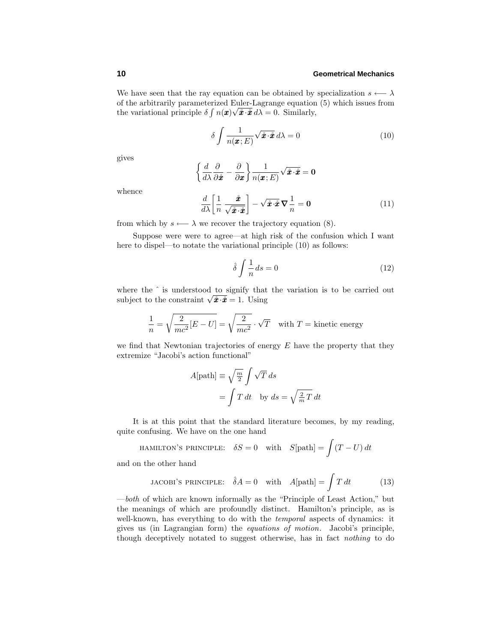We have seen that the ray equation can be obtained by specialization  $s \leftarrow \lambda$ of the arbitrarily parameterized Euler-Lagrange equation (5) which issues from the variational principle  $\delta \int n(\mathbf{x}) \sqrt{\mathbf{\vec{x}} \cdot \mathbf{\vec{x}}} d\lambda = 0$ . Similarly,

$$
\delta \int \frac{1}{n(\pmb{x};E)} \sqrt{\mathbf{\hat{x}} \cdot \mathbf{\hat{x}}} \, d\lambda = 0 \tag{10}
$$

gives

$$
\left\{\frac{d}{d\lambda}\frac{\partial}{\partial \mathbf{\hat{x}}}-\frac{\partial}{\partial \mathbf{x}}\right\}\frac{1}{n(\mathbf{x};E)}\sqrt{\mathbf{\hat{x}}\cdot\mathbf{\hat{x}}}=0
$$

whence

$$
\frac{d}{d\lambda} \left[ \frac{1}{n} \frac{\hat{\mathbf{x}}}{\sqrt{\hat{\mathbf{x}} \cdot \hat{\mathbf{x}}} } \right] - \sqrt{\hat{\mathbf{x}} \cdot \hat{\mathbf{x}}} \, \nabla \frac{1}{n} = \mathbf{0} \tag{11}
$$

from which by  $s \leftarrow \lambda$  we recover the trajectory equation (8).

Suppose were were to agree—at high risk of the confusion which I want here to dispel—to notate the variational principle  $(10)$  as follows:

$$
\hat{\delta} \int \frac{1}{n} ds = 0 \tag{12}
$$

where the  $\hat{ }$  is understood to signify that the variation is to be carried out subject to the constraint  $\sqrt{\hat{x} \cdot \hat{x}} = 1$ . Using

$$
\frac{1}{n} = \sqrt{\frac{2}{mc^2}[E - U]} = \sqrt{\frac{2}{mc^2}} \cdot \sqrt{T}
$$
 with  $T$  = kinetic energy

we find that Newtonian trajectories of energy *E* have the property that they extremize "Jacobi's action functional"

$$
A[\text{path}] \equiv \sqrt{\frac{m}{2}} \int \sqrt{T} \, ds
$$

$$
= \int T \, dt \quad \text{by } ds = \sqrt{\frac{2}{m} T} \, dt
$$

It is at this point that the standard literature becomes, by my reading, quite confusing. We have on the one hand

HAMILTON'S PRINCIPLE: 
$$
\delta S = 0
$$
 with  $S[\text{path}] = \int (T - U) dt$ 

and on the other hand

JACOBI'S PRINCIPLE: 
$$
\hat{\delta}A = 0
$$
 with  $A[\text{path}] = \int T dt$  (13)

—both of which are known informally as the "Principle of Least Action," but the meanings of which are profoundly distinct. Hamilton's principle, as is well-known, has everything to do with the *temporal* aspects of dynamics: it gives us (in Lagrangian form) the equations of motion. Jacobi's principle, though deceptively notated to suggest otherwise, has in fact nothing to do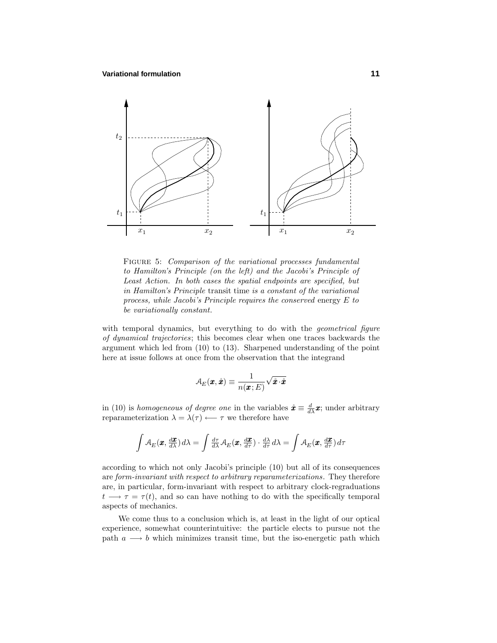

FIGURE 5: Comparison of the variational processes fundamental to Hamilton's Principle (on the left) and the Jacobi's Principle of Least Action. In both cases the spatial endpoints are specified, but in Hamilton's Principle transit time is a constant of the variational process, while Jacobi's Principle requires the conserved energy *E* to be variationally constant.

with temporal dynamics, but everything to do with the *geometrical figure* of dynamical trajectories; this becomes clear when one traces backwards the argument which led from (10) to (13). Sharpened understanding of the point here at issue follows at once from the observation that the integrand

$$
\mathcal{A}_E(\pmb{x},\mathring{\pmb{x}}) \equiv \frac{1}{n(\pmb{x};E)}\sqrt{\mathring{\pmb{x}}\cdot\mathring{\pmb{x}}}
$$

in (10) is homogeneous of degree one in the variables  $\dot{x} \equiv \frac{d}{dx}x$ ; under arbitrary reparameterization  $\lambda = \lambda(\tau) \longleftarrow \tau$  we therefore have

$$
\int A_E(\mathbf{x}, \frac{d\mathbf{x}}{d\lambda}) d\lambda = \int \frac{d\tau}{d\lambda} A_E(\mathbf{x}, \frac{d\mathbf{x}}{d\tau}) \cdot \frac{d\lambda}{d\tau} d\lambda = \int A_E(\mathbf{x}, \frac{d\mathbf{x}}{d\tau}) d\tau
$$

according to which not only Jacobi's principle (10) but all of its consequences are form-invariant with respect to arbitrary reparameterizations. They therefore are, in particular, form-invariant with respect to arbitrary clock-regraduations  $t \rightarrow \tau = \tau(t)$ , and so can have nothing to do with the specifically temporal aspects of mechanics.

We come thus to a conclusion which is, at least in the light of our optical experience, somewhat counterintuitive: the particle elects to pursue not the path  $a \longrightarrow b$  which minimizes transit time, but the iso-energetic path which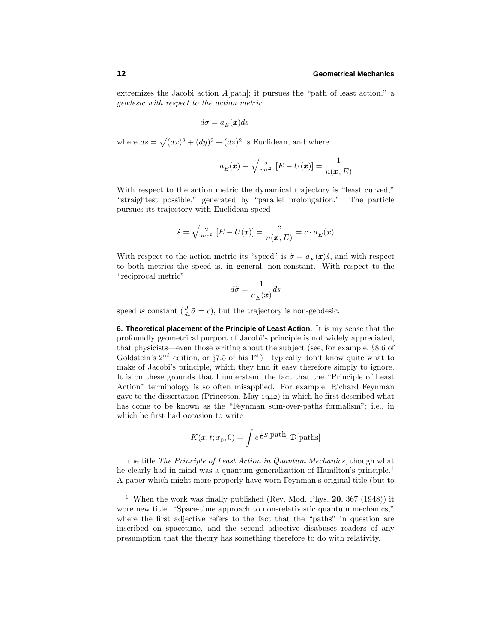extremizes the Jacobi action *A*[path]; it pursues the "path of least action," a geodesic with respect to the action metric

$$
d\sigma = a_E(\pmb{x})ds
$$

where  $ds = \sqrt{(dx)^2 + (dy)^2 + (dz)^2}$  is Euclidean, and where

$$
a_E(\boldsymbol{x}) \equiv \sqrt{\frac{2}{mc^2} [E - U(\boldsymbol{x})]} = \frac{1}{n(\boldsymbol{x}; E)}
$$

With respect to the action metric the dynamical trajectory is "least curved," "straightest possible," generated by "parallel prolongation." The particle pursues its trajectory with Euclidean speed

$$
\dot{s} = \sqrt{\frac{2}{mc^2} [E - U(\pmb{x})]} = \frac{c}{n(\pmb{x};E)} = c \cdot a_E(\pmb{x})
$$

With respect to the action metric its "speed" is  $\dot{\sigma} = a_E(\mathbf{x})\dot{s}$ , and with respect to both metrics the speed is, in general, non-constant. With respect to the "reciprocal metric"

$$
d\tilde{\sigma} = \frac{1}{a_E(\pmb{x})} ds
$$

speed *is* constant  $\left(\frac{d}{dt}\tilde{\sigma} = c\right)$ , but the trajectory is non-geodesic.

**6. Theoretical placement of the Principle of Least Action.** It is my sense that the profoundly geometrical purport of Jacobi's principle is not widely appreciated, that physicists—even those writing about the subject (see, for example, §8.6 of Goldstein's  $2<sup>nd</sup>$  edition, or §7.5 of his  $1<sup>st</sup>$ )—typically don't know quite what to make of Jacobi's principle, which they find it easy therefore simply to ignore. It is on these grounds that I understand the fact that the "Principle of Least Action" terminology is so often misapplied. For example, Richard Feynman gave to the dissertation (Princeton, May  $1942$ ) in which he first described what has come to be known as the "Feynman sum-over-paths formalism"; i.e., in which he first had occasion to write

$$
K(x, t; x_0, 0) = \int e^{\frac{i}{\hbar}S[\text{path}]}\mathcal{D}[\text{paths}]
$$

*...*the title The Principle of Least Action in Quantum Mechanics, though what he clearly had in mind was a quantum generalization of Hamilton's principle.<sup>1</sup> A paper which might more properly have worn Feynman's original title (but to

<sup>1</sup> When the work was finally published (Rev. Mod. Phys. **20**, 367 (1948)) it wore new title: "Space-time approach to non-relativistic quantum mechanics," where the first adjective refers to the fact that the "paths" in question are inscribed on spacetime, and the second adjective disabuses readers of any presumption that the theory has something therefore to do with relativity.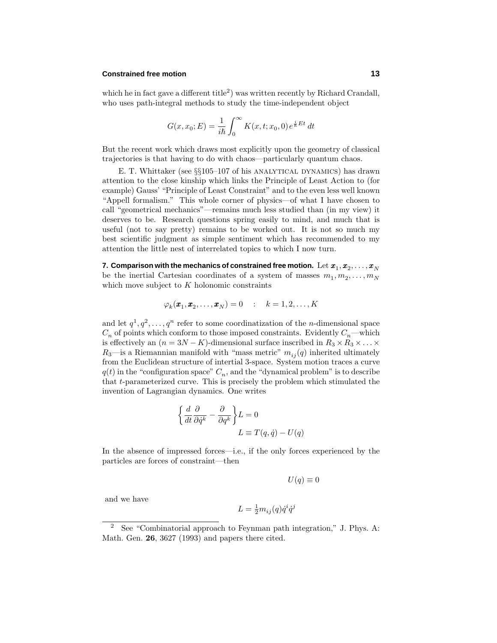## **Constrained free motion 13**

which he in fact gave a different title<sup>2</sup>) was written recently by Richard Crandall, who uses path-integral methods to study the time-independent object

$$
G(x, x_0; E) = \frac{1}{i\hbar} \int_0^\infty K(x, t; x_0, 0) e^{\frac{i}{\hbar}Et} dt
$$

But the recent work which draws most explicitly upon the geometry of classical trajectories is that having to do with chaos—particularly quantum chaos.

E. T. Whittaker (see  $\S 105-107$  of his ANALYTICAL DYNAMICS) has drawn attention to the close kinship which links the Principle of Least Action to (for example) Gauss' "Principle of Least Constraint" and to the even less well known "Appell formalism." This whole corner of physics—of what I have chosen to call "geometrical mechanics"—remains much less studied than (in my view) it deserves to be. Research questions spring easily to mind, and much that is useful (not to say pretty) remains to be worked out. It is not so much my best scientific judgment as simple sentiment which has recommended to my attention the little nest of interrelated topics to which I now turn.

**7. Comparison with the mechanics of constrained free motion.** Let  $x_1, x_2, \ldots, x_N$ be the inertial Cartesian coordinates of a system of masses  $m_1, m_2, \ldots, m_N$ which move subject to *K* holonomic constraints

$$
\varphi_k(\pmb{x}_1,\pmb{x}_2,\ldots,\pmb{x}_N)=0\qquad:\quad k=1,2,\ldots,K
$$

and let  $q^1, q^2, \ldots, q^n$  refer to some coordinatization of the *n*-dimensional space  $C_n$  of points which conform to those imposed constraints. Evidently  $C_n$ —which is effectively an  $(n = 3N - K)$ -dimensional surface inscribed in  $R_3 \times R_3 \times \ldots \times R_K$  $R_3$ —is a Riemannian manifold with "mass metric"  $m_{ij}(q)$  inherited ultimately from the Euclidean structure of intertial 3-space. System motion traces a curve  $q(t)$  in the "configuration space"  $C_n$ , and the "dynamical problem" is to describe that *t*-parameterized curve. This is precisely the problem which stimulated the invention of Lagrangian dynamics. One writes

$$
\left\{\frac{d}{dt}\frac{\partial}{\partial \dot{q}^k} - \frac{\partial}{\partial q^k}\right\} L = 0
$$
  

$$
L \equiv T(q, \dot{q}) - U(q)
$$

In the absence of impressed forces—i.e., if the only forces experienced by the particles are forces of constraint—then

$$
U(q)\equiv 0
$$

and we have

$$
L = \frac{1}{2}m_{ij}(q)\dot{q}^i\dot{q}^j
$$

<sup>2</sup> See "Combinatorial approach to Feynman path integration," J. Phys. A: Math. Gen. **26**, 3627 (1993) and papers there cited.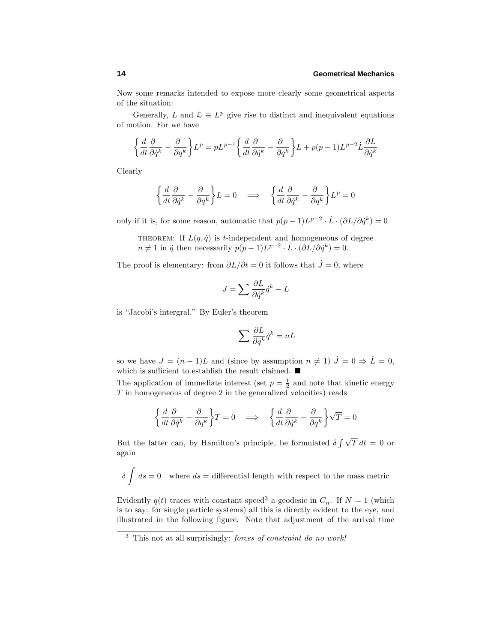Now some remarks intended to expose more clearly some geometrical aspects of the situation:

Generally, *L* and  $\mathcal{L} \equiv L^p$  give rise to distinct and inequivalent equations of motion. For we have

$$
\left\{\frac{d}{dt}\frac{\partial}{\partial \dot{q}^k} - \frac{\partial}{\partial q^k}\right\} L^p = pL^{p-1} \left\{\frac{d}{dt}\frac{\partial}{\partial \dot{q}^k} - \frac{\partial}{\partial q^k}\right\} L + p(p-1)L^{p-2}\dot{L}\frac{\partial L}{\partial \dot{q}^k}
$$

Clearly

$$
\left\{\frac{d}{dt}\frac{\partial}{\partial \dot{q}^k} - \frac{\partial}{\partial q^k}\right\} L = 0 \quad \Longrightarrow \quad \left\{\frac{d}{dt}\frac{\partial}{\partial \dot{q}^k} - \frac{\partial}{\partial q^k}\right\} L^p = 0
$$

only if it is, for some reason, automatic that  $p(p-1)L^{p-2} \cdot \dot{L} \cdot (\partial L/\partial \dot{q}^k) = 0$ 

THEOREM: If  $L(q, \dot{q})$  is *t*-independent and homogeneous of degree  $n \neq 1$  in  $\dot{q}$  then necessarily  $p(p-1)L^{p-2} \cdot \dot{L} \cdot (\partial L/\partial \dot{q}^k) = 0.$ 

The proof is elementary: from  $\partial L/\partial t = 0$  it follows that  $\dot{J} = 0$ , where

$$
J = \sum \frac{\partial L}{\partial \dot{q}^k} \dot{q}^k - L
$$

is "Jacobi's intergral." By Euler's theorem

$$
\sum \frac{\partial L}{\partial \dot{q}^k} \dot{q}^k = nL
$$

so we have  $J = (n-1)L$  and (since by assumption  $n \neq 1$ )  $\dot{J} = 0 \Rightarrow \dot{L} = 0$ , which is sufficient to establish the result claimed.  $\blacksquare$ 

The application of immediate interest (set  $p = \frac{1}{2}$  and note that kinetic energy *T* in homogeneous of degree 2 in the generalized velocities) reads

$$
\left\{\frac{d}{dt}\frac{\partial}{\partial \dot{q}^k} - \frac{\partial}{\partial q^k}\right\}T = 0 \quad \Longrightarrow \quad \left\{\frac{d}{dt}\frac{\partial}{\partial \dot{q}^k} - \frac{\partial}{\partial q^k}\right\}\sqrt{T} = 0
$$

But the latter can, by Hamilton's principle, be formulated  $\delta \int \sqrt{T} dt = 0$  or again

$$
\delta \int ds = 0 \quad \text{where } ds = \text{differential length with respect to the mass metric}
$$

Evidently  $q(t)$  traces with constant speed<sup>3</sup> a geodesic in  $C_n$ . If  $N = 1$  (which is to say: for single particle systems) all this is directly evident to the eye, and illustrated in the following figure. Note that adjustment of the arrival time

<sup>3</sup> This not at all surprisingly: forces of constraint do no work!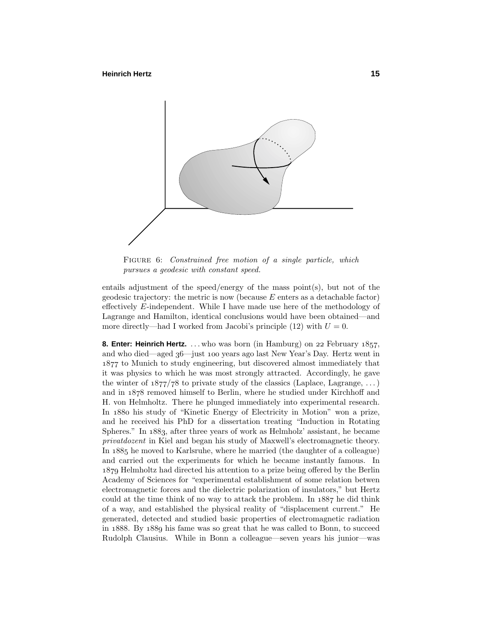

FIGURE 6: Constrained free motion of a single particle, which pursues a geodesic with constant speed.

entails adjustment of the speed/energy of the mass point(s), but not of the geodesic trajectory: the metric is now (because *E* enters as a detachable factor) effectively *E*-independent. While I have made use here of the methodology of Lagrange and Hamilton, identical conclusions would have been obtained—and more directly—had I worked from Jacobi's principle  $(12)$  with  $U = 0$ .

**8. Enter: Heinrich Hertz.** ... who was born (in Hamburg) on 22 February 1857, and who died—aged 36—just 100 years ago last New Year's Day. Hertz went in to Munich to study engineering, but discovered almost immediately that it was physics to which he was most strongly attracted. Accordingly, he gave the winter of  $1877/78$  to private study of the classics (Laplace, Lagrange, ...) and in  $1878$  removed himself to Berlin, where he studied under Kirchhoff and H. von Helmholtz. There he plunged immediately into experimental research. In 1880 his study of "Kinetic Energy of Electricity in Motion" won a prize, and he received his PhD for a dissertation treating "Induction in Rotating Spheres." In 1883, after three years of work as Helmholz' assistant, he became privatdozent in Kiel and began his study of Maxwell's electromagnetic theory. In 1885 he moved to Karlsruhe, where he married (the daughter of a colleague) and carried out the experiments for which he became instantly famous. In 1879 Helmholtz had directed his attention to a prize being offered by the Berlin Academy of Sciences for "experimental establishment of some relation betwen electromagnetic forces and the dielectric polarization of insulators," but Hertz could at the time think of no way to attack the problem. In  $1887$  he did think of a way, and established the physical reality of "displacement current." He generated, detected and studied basic properties of electromagnetic radiation in 1888. By 1889 his fame was so great that he was called to Bonn, to succeed Rudolph Clausius. While in Bonn a colleague—seven years his junior—was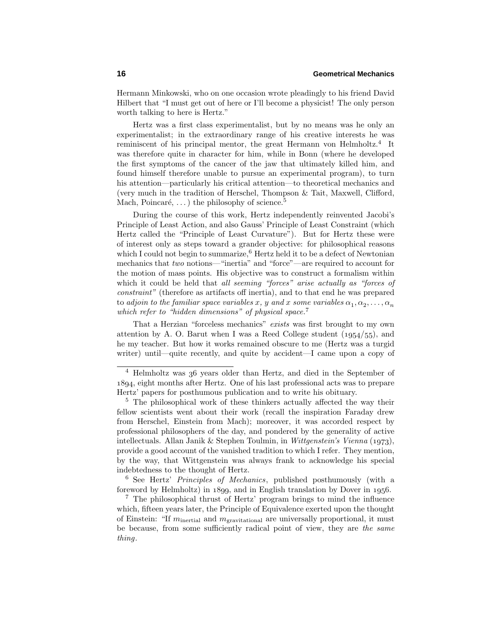Hermann Minkowski, who on one occasion wrote pleadingly to his friend David Hilbert that "I must get out of here or I'll become a physicist! The only person worth talking to here is Hertz."

Hertz was a first class experimentalist, but by no means was he only an experimentalist; in the extraordinary range of his creative interests he was reminiscent of his principal mentor, the great Hermann von Helmholtz.<sup>4</sup> It was therefore quite in character for him, while in Bonn (where he developed the first symptoms of the cancer of the jaw that ultimately killed him, and found himself therefore unable to pursue an experimental program), to turn his attention—particularly his critical attention—to theoretical mechanics and (very much in the tradition of Herschel, Thompson & Tait, Maxwell, Clifford, Mach, Poincaré,  $\dots$ ) the philosophy of science.<sup>5</sup>

During the course of this work, Hertz independently reinvented Jacobi's Principle of Least Action, and also Gauss' Principle of Least Constraint (which Hertz called the "Principle of Least Curvature"). But for Hertz these were of interest only as steps toward a grander objective: for philosophical reasons which I could not begin to summarize, $6$  Hertz held it to be a defect of Newtonian mechanics that two notions—"inertia" and "force"—are required to account for the motion of mass points. His objective was to construct a formalism within which it could be held that all seeming "forces" arise actually as "forces of constraint" (therefore as artifacts off inertia), and to that end he was prepared to adjoin to the familiar space variables x, y and x some variables  $\alpha_1, \alpha_2, \ldots, \alpha_n$ which refer to "hidden dimensions" of physical space.<sup>7</sup>

That a Herzian "forceless mechanics" exists was first brought to my own attention by A. O. Barut when I was a Reed College student  $(1954/55)$ , and he my teacher. But how it works remained obscure to me (Hertz was a turgid writer) until—quite recently, and quite by accident—I came upon a copy of

<sup>6</sup> See Hertz' Principles of Mechanics, published posthumously (with a foreword by Helmholtz) in  $1899$ , and in English translation by Dover in  $1956$ .

<sup>7</sup> The philosophical thrust of Hertz' program brings to mind the influence which, fifteen years later, the Principle of Equivalence exerted upon the thought of Einstein: "If *m*inertial and *m*gravitational are universally proportional, it must be because, from some sufficiently radical point of view, they are the same thing.

 $4$  Helmholtz was  $36$  years older than Hertz, and died in the September of , eight months after Hertz. One of his last professional acts was to prepare Hertz' papers for posthumous publication and to write his obituary.

<sup>&</sup>lt;sup>5</sup> The philosophical work of these thinkers actually affected the way their fellow scientists went about their work (recall the inspiration Faraday drew from Herschel, Einstein from Mach); moreover, it was accorded respect by professional philosophers of the day, and pondered by the generality of active intellectuals. Allan Janik & Stephen Toulmin, in Wittgenstein's Vienna (1973), provide a good account of the vanished tradition to which I refer. They mention, by the way, that Wittgenstein was always frank to acknowledge his special indebtedness to the thought of Hertz.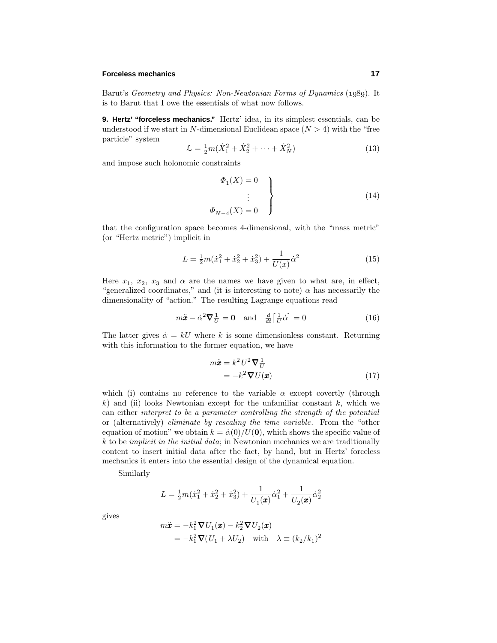### **Forceless mechanics 17**

Barut's Geometry and Physics: Non-Newtonian Forms of Dynamics (1989). It is to Barut that I owe the essentials of what now follows.

**9. Hertz' "forceless mechanics."** Hertz' idea, in its simplest essentials, can be understood if we start in *N*-dimensional Euclidean space  $(N > 4)$  with the "free particle" system

$$
\mathcal{L} = \frac{1}{2}m(\dot{X}_1^2 + \dot{X}_2^2 + \dots + \dot{X}_N^2)
$$
\n(13)

and impose such holonomic constraints

$$
\begin{aligned}\n\Phi_1(X) &= 0 \\
&\vdots \\
\Phi_{N-4}(X) &= 0\n\end{aligned}
$$
\n(14)

that the configuration space becomes 4-dimensional, with the "mass metric" (or "Hertz metric") implicit in

$$
L = \frac{1}{2}m(\dot{x}_1^2 + \dot{x}_2^2 + \dot{x}_3^2) + \frac{1}{U(x)}\dot{\alpha}^2
$$
 (15)

Here  $x_1, x_2, x_3$  and  $\alpha$  are the names we have given to what are, in effect, "generalized coordinates," and (it is interesting to note)  $\alpha$  has necessarily the dimensionality of "action." The resulting Lagrange equations read

$$
m\ddot{\boldsymbol{x}} - \dot{\alpha}^2 \nabla \frac{1}{U} = \mathbf{0} \quad \text{and} \quad \frac{d}{dt} \left[ \frac{1}{U} \dot{\alpha} \right] = 0 \tag{16}
$$

The latter gives  $\dot{\alpha} = kU$  where k is some dimensionless constant. Returning with this information to the former equation, we have

$$
m\ddot{\mathbf{x}} = k^2 U^2 \nabla \frac{1}{U}
$$
  
=  $-k^2 \nabla U(\mathbf{x})$  (17)

which (i) contains no reference to the variable  $\alpha$  except covertly (through  $k$ ) and (ii) looks Newtonian except for the unfamiliar constant  $k$ , which we can either interpret to be a parameter controlling the strength of the potential or (alternatively) eliminate by rescaling the time variable. From the "other equation of motion" we obtain  $k = \dot{\alpha}(0)/U(0)$ , which shows the specific value of *k* to be implicit in the initial data; in Newtonian mechanics we are traditionally content to insert initial data after the fact, by hand, but in Hertz' forceless mechanics it enters into the essential design of the dynamical equation.

Similarly

$$
L = \frac{1}{2}m(\dot{x}_1^2 + \dot{x}_2^2 + \dot{x}_3^2) + \frac{1}{U_1(\pmb{x})}\dot{\alpha}_1^2 + \frac{1}{U_2(\pmb{x})}\dot{\alpha}_2^2
$$

gives

$$
m\ddot{\mathbf{x}} = -k_1^2 \nabla U_1(\mathbf{x}) - k_2^2 \nabla U_2(\mathbf{x})
$$
  
=  $-k_1^2 \nabla (U_1 + \lambda U_2)$  with  $\lambda \equiv (k_2/k_1)^2$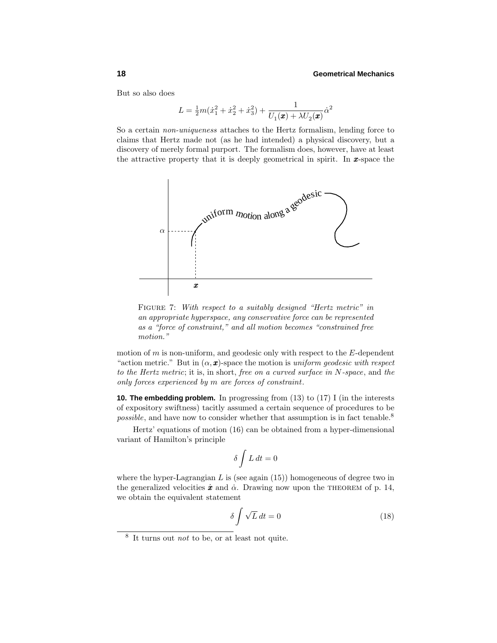But so also does

$$
L = \frac{1}{2}m(\dot{x}_1^2 + \dot{x}_2^2 + \dot{x}_3^2) + \frac{1}{U_1(\pmb{x}) + \lambda U_2(\pmb{x})}\dot{\alpha}^2
$$

So a certain non-uniqueness attaches to the Hertz formalism, lending force to claims that Hertz made not (as he had intended) a physical discovery, but a discovery of merely formal purport. The formalism does, however, have at least the attractive property that it is deeply geometrical in spirit. In *x*-space the



FIGURE 7: With respect to a suitably designed "Hertz metric" in an appropriate hyperspace, any conservative force can be represented as a "force of constraint," and all motion becomes "constrained free motion."

motion of *m* is non-uniform, and geodesic only with respect to the *E*-dependent "action metric." But in  $(\alpha, \mathbf{x})$ -space the motion is uniform geodesic with respect to the Hertz metric; it is, in short, free on a curved surface in *N*-space, and the only forces experienced by *m* are forces of constraint.

**10. The embedding problem.** In progressing from (13) to (17) I (in the interests of expository swiftness) tacitly assumed a certain sequence of procedures to be possible, and have now to consider whether that assumption is in fact tenable.<sup>8</sup>

Hertz' equations of motion (16) can be obtained from a hyper-dimensional variant of Hamilton's principle

$$
\delta \int L \, dt = 0
$$

where the hyper-Lagrangian  $L$  is (see again  $(15)$ ) homogeneous of degree two in the generalized velocities  $\dot{x}$  and  $\dot{\alpha}$ . Drawing now upon the THEOREM of p. 14, we obtain the equivalent statement

$$
\delta \int \sqrt{L} \, dt = 0 \tag{18}
$$

<sup>8</sup> It turns out not to be, or at least not quite.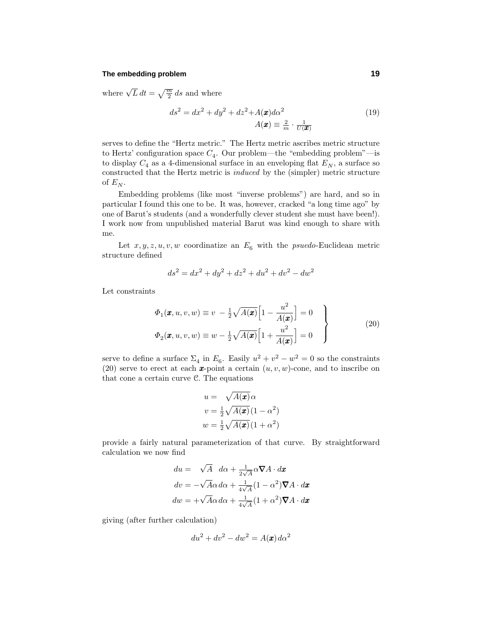#### **The embedding problem 19**

where  $\sqrt{L} dt = \sqrt{\frac{m}{2}} ds$  and where

$$
ds^{2} = dx^{2} + dy^{2} + dz^{2} + A(\mathbf{x})d\alpha^{2}
$$

$$
A(\mathbf{x}) \equiv \frac{2}{m} \cdot \frac{1}{U(\mathbf{x})}
$$
(19)

serves to define the "Hertz metric." The Hertz metric ascribes metric structure to Hertz' configuration space  $C_4$ . Our problem—the "embedding problem"—is to display  $C_4$  as a 4-dimensional surface in an enveloping flat  $E_N$ , a surface so constructed that the Hertz metric is induced by the (simpler) metric structure of  $E_N$ .

Embedding problems (like most "inverse problems") are hard, and so in particular I found this one to be. It was, however, cracked "a long time ago" by one of Barut's students (and a wonderfully clever student she must have been!). I work now from unpublished material Barut was kind enough to share with me.

Let  $x, y, z, u, v, w$  coordinatize an  $E_6$  with the *psuedo*-Euclidean metric structure defined

$$
ds^2 = dx^2 + dy^2 + dz^2 + du^2 + dv^2 - dw^2
$$

Let constraints

$$
\Phi_1(\mathbf{x}, u, v, w) \equiv v - \frac{1}{2} \sqrt{A(\mathbf{x})} \left[ 1 - \frac{u^2}{A(\mathbf{x})} \right] = 0
$$
\n
$$
\Phi_2(\mathbf{x}, u, v, w) \equiv w - \frac{1}{2} \sqrt{A(\mathbf{x})} \left[ 1 + \frac{u^2}{A(\mathbf{x})} \right] = 0
$$
\n(20)

serve to define a surface  $\Sigma_4$  in  $E_6$ . Easily  $u^2 + v^2 - w^2 = 0$  so the constraints (20) serve to erect at each  $\boldsymbol{x}$ -point a certain  $(u, v, w)$ -cone, and to inscribe on that cone a certain curve C. The equations

$$
u = \sqrt{A(\mathbf{x})}\alpha
$$
  

$$
v = \frac{1}{2}\sqrt{A(\mathbf{x})}(1 - \alpha^2)
$$
  

$$
w = \frac{1}{2}\sqrt{A(\mathbf{x})}(1 + \alpha^2)
$$

provide a fairly natural parameterization of that curve. By straightforward calculation we now find

$$
du = \sqrt{A} \, d\alpha + \frac{1}{2\sqrt{A}} \alpha \nabla A \cdot d\boldsymbol{x}
$$

$$
dv = -\sqrt{A}\alpha \, d\alpha + \frac{1}{4\sqrt{A}} (1 - \alpha^2) \nabla A \cdot d\boldsymbol{x}
$$

$$
dw = +\sqrt{A}\alpha \, d\alpha + \frac{1}{4\sqrt{A}} (1 + \alpha^2) \nabla A \cdot d\boldsymbol{x}
$$

giving (after further calculation)

$$
du^2 + dv^2 - dw^2 = A(\pmb{x})\,d\alpha^2
$$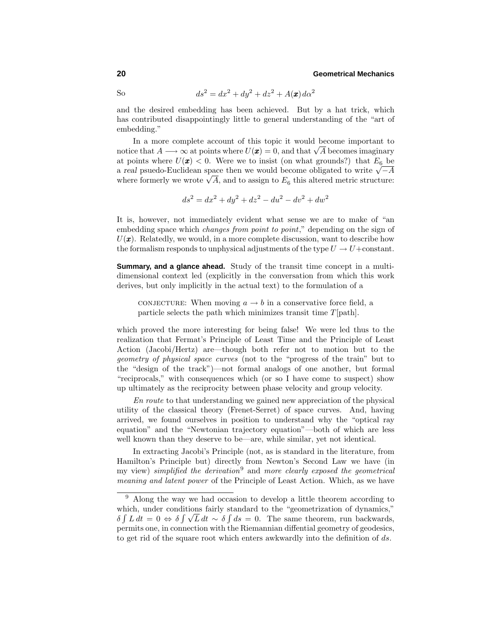So 
$$
ds^2 = dx^2 + dy^2 + dz^2 + A(\mathbf{x})d\alpha^2
$$

and the desired embedding has been achieved. But by a hat trick, which has contributed disappointingly little to general understanding of the "art of embedding."

In a more complete account of this topic it would become important to notice that  $A \longrightarrow \infty$  at points where  $U(\mathbf{x}) = 0$ , and that  $\sqrt{A}$  becomes imaginary at points where  $U(\mathbf{x}) < 0$ . Were we to insist (on what grounds?) that  $E_6$  be <sup>a</sup> *real* psuedo-Euclidean space then we would become obligated to write √−*<sup>A</sup>* where formerly we wrote  $\sqrt{A}$ , and to assign to  $E_6$  this altered metric structure:

$$
ds^2 = dx^2 + dy^2 + dz^2 - du^2 - dv^2 + dw^2
$$

It is, however, not immediately evident what sense we are to make of "an embedding space which *changes from point to point*," depending on the sign of  $U(\mathbf{x})$ . Relatedly, we would, in a more complete discussion, want to describe how the formalism responds to unphysical adjustments of the type  $U \to U + constant$ .

**Summary, and a glance ahead.** Study of the transit time concept in a multidimensional context led (explicitly in the conversation from which this work derives, but only implicitly in the actual text) to the formulation of a

CONJECTURE: When moving  $a \to b$  in a conservative force field, a particle selects the path which minimizes transit time *T*[path].

which proved the more interesting for being false! We were led thus to the realization that Fermat's Principle of Least Time and the Principle of Least Action (Jacobi/Hertz) are—though both refer not to motion but to the geometry of physical space curves (not to the "progress of the train" but to the "design of the track")—not formal analogs of one another, but formal "reciprocals," with consequences which (or so I have come to suspect) show up ultimately as the reciprocity between phase velocity and group velocity.

En route to that understanding we gained new appreciation of the physical utility of the classical theory (Frenet-Serret) of space curves. And, having arrived, we found ourselves in position to understand why the "optical ray equation" and the "Newtonian trajectory equation"—both of which are less well known than they deserve to be—are, while similar, yet not identical.

In extracting Jacobi's Principle (not, as is standard in the literature, from Hamilton's Principle but) directly from Newton's Second Law we have (in my view) simplified the derivation<sup>9</sup> and more clearly exposed the geometrical meaning and latent power of the Principle of Least Action. Which, as we have

<sup>9</sup> Along the way we had occasion to develop a little theorem according to which, under conditions fairly standard to the "geometrization of dynamics,"  $\delta \int L dt = 0 \Leftrightarrow \delta \int \sqrt{L} dt \sim \delta \int ds = 0$ . The same theorem, run backwards, permits one, in connection with the Riemannian diffential geometry of geodesics, to get rid of the square root which enters awkwardly into the definition of *ds*.